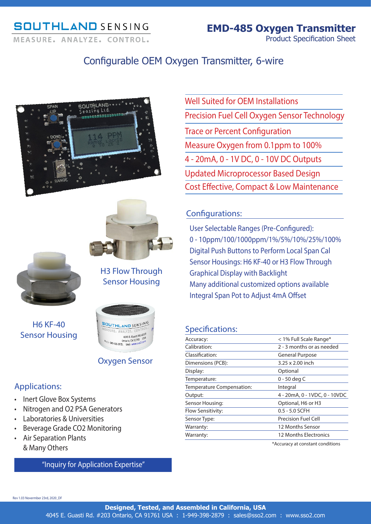## **SOUTHLAND SENSING**

MEASURE, ANALYZE, CONTROL,

## Configurable OEM Oxygen Transmitter, 6-wire







H3 Flow Through Sensor Housing

H6 KF-40 Sensor Housing



## Oxygen Sensor

## Applications:

- Inert Glove Box Systems
- Nitrogen and O2 PSA Generators
- Laboratories & Universities
- Beverage Grade CO2 Monitoring
- Air Separation Plants & Many Others

## "Inquiry for Application Expertise"

Cost Effective, Compact & Low Maintenance Well Suited for OEM Installations Precision Fuel Cell Oxygen Sensor Technology Trace or Percent Configuration Measure Oxygen from 0.1ppm to 100% 4 - 20mA, 0 - 1V DC, 0 - 10V DC Outputs Updated Microprocessor Based Design

## Configurations:

User Selectable Ranges (Pre-Configured): 0 - 10ppm/100/1000ppm/1%/5%/10%/25%/100% Digital Push Buttons to Perform Local Span Cal Sensor Housings: H6 KF-40 or H3 Flow Through Graphical Display with Backlight Many additional customized options available Integral Span Pot to Adjust 4mA Offset

## Specifications:

| Accuracy:                 | < 1% Full Scale Range*        |
|---------------------------|-------------------------------|
| Calibration:              | 2 - 3 months or as needed     |
| Classification:           | <b>General Purpose</b>        |
| Dimensions (PCB):         | 3.25 x 2.00 inch              |
| Display:                  | Optional                      |
| Temperature:              | 0 - 50 deg C                  |
| Temperature Compensation: | Integral                      |
| Output:                   | 4 - 20mA, 0 - 1VDC, 0 - 10VDC |
| Sensor Housing:           | Optional, H6 or H3            |
| <b>Flow Sensitivity:</b>  | 0.5 - 5.0 SCFH                |
| Sensor Type:              | <b>Precision Fuel Cell</b>    |
| Warranty:                 | 12 Months Sensor              |
| Warranty:                 | 12 Months Electronics         |
|                           |                               |

\*Accuracy at constant conditions